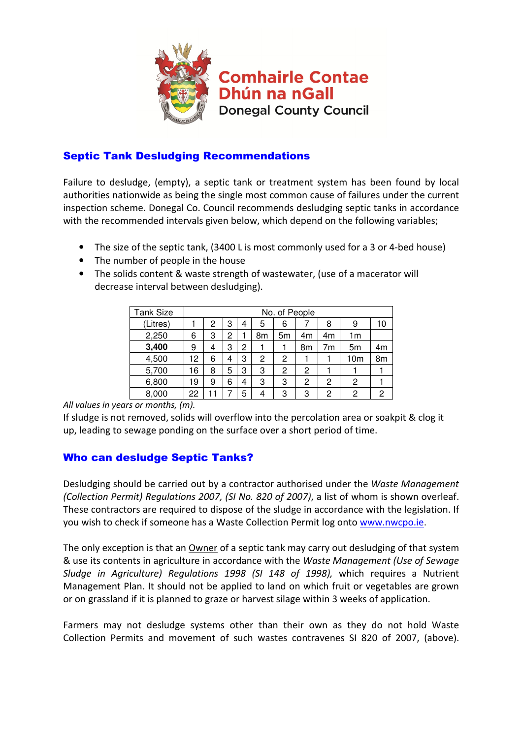

## Septic Tank Desludging Recommendations

Failure to desludge, (empty), a septic tank or treatment system has been found by local authorities nationwide as being the single most common cause of failures under the current inspection scheme. Donegal Co. Council recommends desludging septic tanks in accordance with the recommended intervals given below, which depend on the following variables;

- The size of the septic tank, (3400 L is most commonly used for a 3 or 4-bed house)
- The number of people in the house
- The solids content & waste strength of wastewater, (use of a macerator will decrease interval between desludging).

| Tank Size | No. of People |   |   |   |    |    |    |    |                 |    |
|-----------|---------------|---|---|---|----|----|----|----|-----------------|----|
| (Litres)  |               | 2 | 3 | 4 | 5  | 6  |    | 8  | 9               | 10 |
| 2,250     | 6             | 3 | 2 |   | 8m | 5m | 4m | 4m | 1m              |    |
| 3,400     | 9             | 4 | 3 | 2 |    |    | 8m | 7m | 5 <sub>m</sub>  | 4m |
| 4,500     | 12            | 6 | 4 | 3 | 2  | 2  |    |    | 10 <sub>m</sub> | 8m |
| 5,700     | 16            | 8 | 5 | 3 | 3  | 2  | 2  |    |                 |    |
| 6,800     | 19            | 9 | 6 | 4 | 3  | 3  | 2  | 2  | 2               |    |
| 8,000     | 22            |   |   | 5 | 4  | 3  | 3  | 2  | 2               | 2  |

All values in years or months, (m).

If sludge is not removed, solids will overflow into the percolation area or soakpit & clog it up, leading to sewage ponding on the surface over a short period of time.

## Who can desludge Septic Tanks?

Desludging should be carried out by a contractor authorised under the Waste Management (Collection Permit) Regulations 2007, (SI No. 820 of 2007), a list of whom is shown overleaf. These contractors are required to dispose of the sludge in accordance with the legislation. If you wish to check if someone has a Waste Collection Permit log onto www.nwcpo.ie.

The only exception is that an Owner of a septic tank may carry out desludging of that system & use its contents in agriculture in accordance with the Waste Management (Use of Sewage Sludge in Agriculture) Regulations 1998 (SI 148 of 1998), which requires a Nutrient Management Plan. It should not be applied to land on which fruit or vegetables are grown or on grassland if it is planned to graze or harvest silage within 3 weeks of application.

Farmers may not desludge systems other than their own as they do not hold Waste Collection Permits and movement of such wastes contravenes SI 820 of 2007, (above).